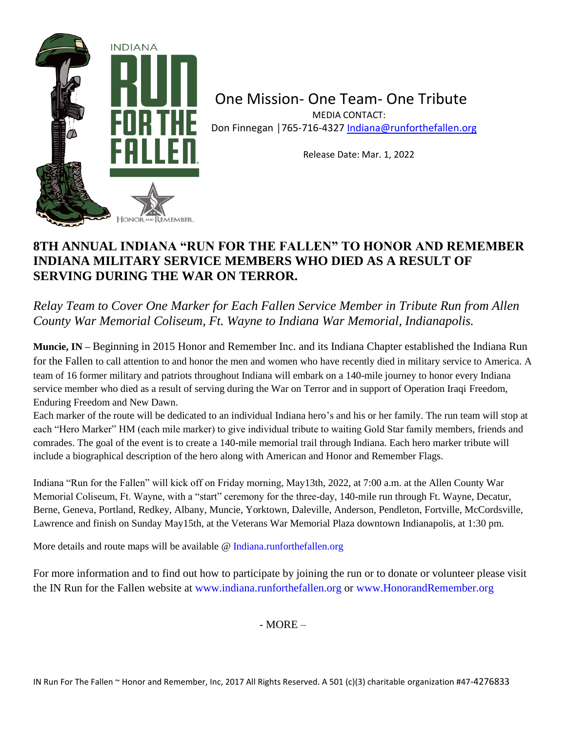

One Mission- One Team- One Tribute MEDIA CONTACT:

Don Finnegan | 765-716-4327 [Indiana@runforthefallen.org](mailto:Indiana@runforthefallen.org)

Release Date: Mar. 1, 2022

## **8TH ANNUAL INDIANA "RUN FOR THE FALLEN" TO HONOR AND REMEMBER INDIANA MILITARY SERVICE MEMBERS WHO DIED AS A RESULT OF SERVING DURING THE WAR ON TERROR.**

*Relay Team to Cover One Marker for Each Fallen Service Member in Tribute Run from Allen County War Memorial Coliseum, Ft. Wayne to Indiana War Memorial, Indianapolis.*

**Muncie, IN –** Beginning in 2015 Honor and Remember Inc. and its Indiana Chapter established the Indiana Run for the Fallen to call attention to and honor the men and women who have recently died in military service to America. A team of 16 former military and patriots throughout Indiana will embark on a 140-mile journey to honor every Indiana service member who died as a result of serving during the War on Terror and in support of Operation Iraqi Freedom, Enduring Freedom and New Dawn.

Each marker of the route will be dedicated to an individual Indiana hero's and his or her family. The run team will stop at each "Hero Marker" HM (each mile marker) to give individual tribute to waiting Gold Star family members, friends and comrades. The goal of the event is to create a 140-mile memorial trail through Indiana. Each hero marker tribute will include a biographical description of the hero along with American and Honor and Remember Flags.

Indiana "Run for the Fallen" will kick off on Friday morning, May13th, 2022, at 7:00 a.m. at the Allen County War Memorial Coliseum, Ft. Wayne, with a "start" ceremony for the three-day, 140-mile run through Ft. Wayne, Decatur, Berne, Geneva, Portland, Redkey, Albany, Muncie, Yorktown, Daleville, Anderson, Pendleton, Fortville, McCordsville, Lawrence and finish on Sunday May15th, at the Veterans War Memorial Plaza downtown Indianapolis, at 1:30 pm.

More details and route maps will be available @ Indiana.runforthefallen.org

For more information and to find out how to participate by joining the run or to donate or volunteer please visit the IN Run for the Fallen website at www.indiana.runforthefallen.org or www.HonorandRemember.org

- MORE –